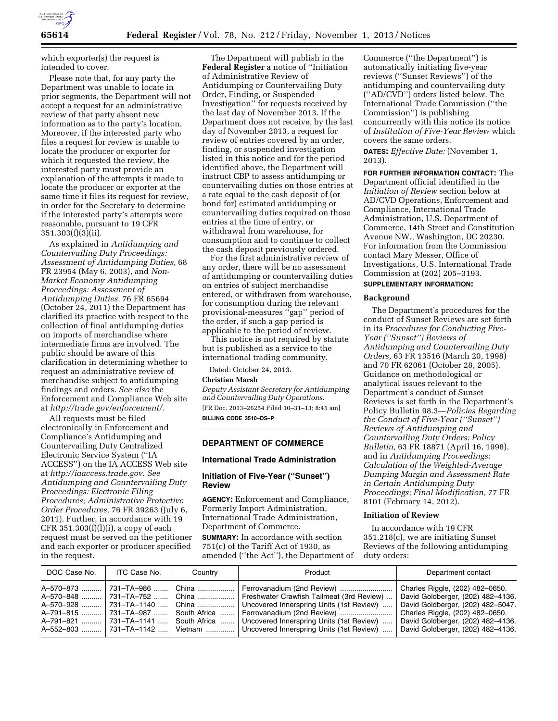

which exporter(s) the request is intended to cover.

Please note that, for any party the Department was unable to locate in prior segments, the Department will not accept a request for an administrative review of that party absent new information as to the party's location. Moreover, if the interested party who files a request for review is unable to locate the producer or exporter for which it requested the review, the interested party must provide an explanation of the attempts it made to locate the producer or exporter at the same time it files its request for review, in order for the Secretary to determine if the interested party's attempts were reasonable, pursuant to 19 CFR 351.303(f)(3)(ii).

As explained in *Antidumping and Countervailing Duty Proceedings: Assessment of Antidumping Duties,* 68 FR 23954 (May 6, 2003), and *Non-Market Economy Antidumping Proceedings: Assessment of Antidumping Duties,* 76 FR 65694 (October 24, 2011) the Department has clarified its practice with respect to the collection of final antidumping duties on imports of merchandise where intermediate firms are involved. The public should be aware of this clarification in determining whether to request an administrative review of merchandise subject to antidumping findings and orders. *See also* the Enforcement and Compliance Web site at *[http://trade.gov/enforcement/.](http://trade.gov/enforcement/)* 

All requests must be filed electronically in Enforcement and Compliance's Antidumping and Countervailing Duty Centralized Electronic Service System (''IA ACCESS'') on the IA ACCESS Web site at *[http://iaaccess.trade.gov.](http://iaaccess.trade.gov) See Antidumping and Countervailing Duty Proceedings: Electronic Filing Procedures; Administrative Protective Order Procedures,* 76 FR 39263 (July 6, 2011). Further, in accordance with 19 CFR  $351.303(f)(l)(i)$ , a copy of each request must be served on the petitioner and each exporter or producer specified in the request.

The Department will publish in the **Federal Register** a notice of ''Initiation of Administrative Review of Antidumping or Countervailing Duty Order, Finding, or Suspended Investigation'' for requests received by the last day of November 2013. If the Department does not receive, by the last day of November 2013, a request for review of entries covered by an order, finding, or suspended investigation listed in this notice and for the period identified above, the Department will instruct CBP to assess antidumping or countervailing duties on those entries at a rate equal to the cash deposit of (or bond for) estimated antidumping or countervailing duties required on those entries at the time of entry, or withdrawal from warehouse, for consumption and to continue to collect the cash deposit previously ordered.

For the first administrative review of any order, there will be no assessment of antidumping or countervailing duties on entries of subject merchandise entered, or withdrawn from warehouse, for consumption during the relevant provisional-measures ''gap'' period of the order, if such a gap period is applicable to the period of review.

This notice is not required by statute but is published as a service to the international trading community.

Dated: October 24, 2013.

#### **Christian Marsh**

*Deputy Assistant Secretary for Antidumping and Countervailing Duty Operations.*  [FR Doc. 2013–26254 Filed 10–31–13; 8:45 am] **BILLING CODE 3510–DS–P** 

### **DEPARTMENT OF COMMERCE**

# **International Trade Administration**

# **Initiation of Five-Year (''Sunset'') Review**

**AGENCY:** Enforcement and Compliance, Formerly Import Administration, International Trade Administration, Department of Commerce.

**SUMMARY:** In accordance with section 751(c) of the Tariff Act of 1930, as amended (''the Act''), the Department of Commerce (''the Department'') is automatically initiating five-year reviews (''Sunset Reviews'') of the antidumping and countervailing duty (''AD/CVD'') orders listed below. The International Trade Commission (''the Commission'') is publishing concurrently with this notice its notice of *Institution of Five-Year Review* which covers the same orders.

**DATES:** *Effective Date:* (November 1, 2013).

**FOR FURTHER INFORMATION CONTACT:** The Department official identified in the *Initiation of Review* section below at AD/CVD Operations, Enforcement and Compliance, International Trade Administration, U.S. Department of Commerce, 14th Street and Constitution Avenue NW., Washington, DC 20230. For information from the Commission contact Mary Messer, Office of Investigations, U.S. International Trade Commission at (202) 205–3193.

# **SUPPLEMENTARY INFORMATION:**

#### **Background**

The Department's procedures for the conduct of Sunset Reviews are set forth in its *Procedures for Conducting Five-Year (''Sunset'') Reviews of Antidumping and Countervailing Duty Orders,* 63 FR 13516 (March 20, 1998) and 70 FR 62061 (October 28, 2005). Guidance on methodological or analytical issues relevant to the Department's conduct of Sunset Reviews is set forth in the Department's Policy Bulletin 98.3—*Policies Regarding the Conduct of Five-Year (''Sunset'') Reviews of Antidumping and Countervailing Duty Orders: Policy Bulletin,* 63 FR 18871 (April 16, 1998), and in *Antidumping Proceedings: Calculation of the Weighted-Average Dumping Margin and Assessment Rate in Certain Antidumping Duty Proceedings; Final Modification,* 77 FR 8101 (February 14, 2012).

### **Initiation of Review**

In accordance with 19 CFR 351.218(c), we are initiating Sunset Reviews of the following antidumping duty orders:

| DOC Case No. | ITC Case No.       | Country      | Product                                   | Department contact                |
|--------------|--------------------|--------------|-------------------------------------------|-----------------------------------|
| A-570-873    | 731–TA–986 ……      | China        |                                           | Charles Riggle, (202) 482-0650.   |
| A-570-848    | 731–TA–752         | China  '     | Freshwater Crawfish Tailmeat (3rd Review) | David Goldberger, (202) 482-4136. |
| A-570-928    | 731-TA-1140        | China        | Uncovered Innerspring Units (1st Review)  | David Goldberger, (202) 482-5047. |
| A-791-815    | l 731–TA–987 …….   | South Africa | Ferrovanadium (2nd Review)                | Charles Riggle, (202) 482-0650.   |
| A-791-821    | 731-TA-1141        | South Africa | Uncovered Innerspring Units (1st Review)  | David Goldberger, (202) 482-4136. |
| A-552-803    | $ 731 - TA - 1142$ | Vietnam      | Uncovered Innerspring Units (1st Review)  | David Goldberger, (202) 482-4136. |